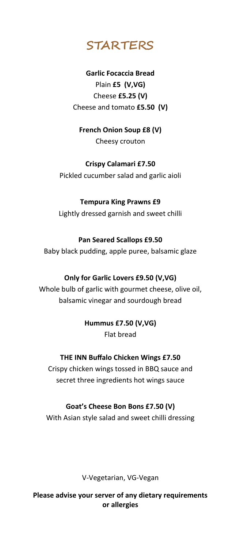

# **Garlic Focaccia Bread**  Plain **£5 (V,VG)** Cheese **£5.25 (V)** Cheese and tomato **£5.50 (V)**

**French Onion Soup £8 (V)**  Cheesy crouton

# **Crispy Calamari £7.50**

Pickled cucumber salad and garlic aioli

# **Tempura King Prawns £9**

Lightly dressed garnish and sweet chilli

# **Pan Seared Scallops £9.50**

Baby black pudding, apple puree, balsamic glaze

# **Only for Garlic Lovers £9.50 (V,VG)**

Whole bulb of garlic with gourmet cheese, olive oil, balsamic vinegar and sourdough bread

# **Hummus £7.50 (V,VG)** Flat bread

# **THE INN Buffalo Chicken Wings £7.50**

Crispy chicken wings tossed in BBQ sauce and secret three ingredients hot wings sauce

# **Goat's Cheese Bon Bons £7.50 (V)**

With Asian style salad and sweet chilli dressing

V-Vegetarian, VG-Vegan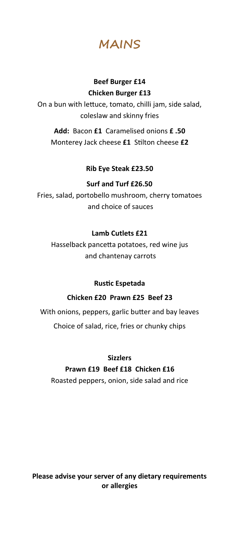**MAINS**

## **Beef Burger £14 Chicken Burger £13**

On a bun with lettuce, tomato, chilli jam, side salad, coleslaw and skinny fries

**Add:** Bacon **£1** Caramelised onions **£ .50** Monterey Jack cheese **£1** Stilton cheese **£2**

#### **Rib Eye Steak £23.50**

#### **Surf and Turf £26.50**

Fries, salad, portobello mushroom, cherry tomatoes and choice of sauces

#### **Lamb Cutlets £21**

Hasselback pancetta potatoes, red wine jus and chantenay carrots

#### **Rustic Espetada**

#### **Chicken £20 Prawn £25 Beef 23**

With onions, peppers, garlic butter and bay leaves Choice of salad, rice, fries or chunky chips

**Sizzlers**

#### **Prawn £19 Beef £18 Chicken £16**

Roasted peppers, onion, side salad and rice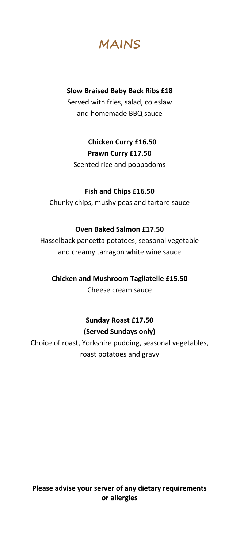**MAINS**

#### **Slow Braised Baby Back Ribs £18**

Served with fries, salad, coleslaw and homemade BBQ sauce

> **Chicken Curry £16.50 Prawn Curry £17.50**

Scented rice and poppadoms

#### **Fish and Chips £16.50**

Chunky chips, mushy peas and tartare sauce

#### **Oven Baked Salmon £17.50**

Hasselback pancetta potatoes, seasonal vegetable and creamy tarragon white wine sauce

#### **Chicken and Mushroom Tagliatelle £15.50**

Cheese cream sauce

# **Sunday Roast £17.50 (Served Sundays only)**

Choice of roast, Yorkshire pudding, seasonal vegetables, roast potatoes and gravy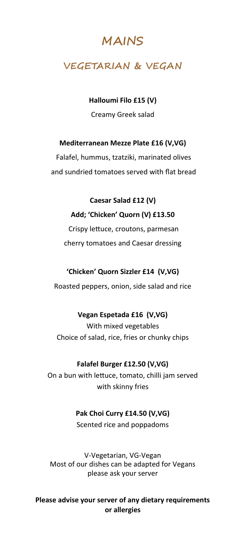# **MAINS**

# **VEGETARIAN & VEGAN**

# **Halloumi Filo £15 (V)**

Creamy Greek salad

## **Mediterranean Mezze Plate £16 (V,VG)**

Falafel, hummus, tzatziki, marinated olives and sundried tomatoes served with flat bread

**Caesar Salad £12 (V) Add; 'Chicken' Quorn (V) £13.50** Crispy lettuce, croutons, parmesan cherry tomatoes and Caesar dressing

#### **'Chicken' Quorn Sizzler £14 (V,VG)**

Roasted peppers, onion, side salad and rice

#### **Vegan Espetada £16 (V,VG)**

With mixed vegetables Choice of salad, rice, fries or chunky chips

#### **Falafel Burger £12.50 (V,VG)**

On a bun with lettuce, tomato, chilli jam served with skinny fries

#### **Pak Choi Curry £14.50 (V,VG)**

Scented rice and poppadoms

V-Vegetarian, VG-Vegan Most of our dishes can be adapted for Vegans please ask your server